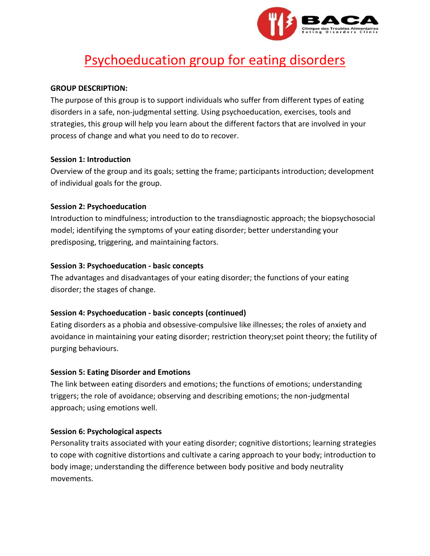

# Psychoeducation group for eating disorders

## **GROUP DESCRIPTION:**

The purpose of this group is to support individuals who suffer from different types of eating disorders in a safe, non-judgmental setting. Using psychoeducation, exercises, tools and strategies, this group will help you learn about the different factors that are involved in your process of change and what you need to do to recover.

## **Session 1: Introduction**

Overview of the group and its goals; setting the frame; participants introduction; development of individual goals for the group.

## **Session 2: Psychoeducation**

Introduction to mindfulness; introduction to the transdiagnostic approach; the biopsychosocial model; identifying the symptoms of your eating disorder; better understanding your predisposing, triggering, and maintaining factors.

## **Session 3: Psychoeducation - basic concepts**

The advantages and disadvantages of your eating disorder; the functions of your eating disorder; the stages of change.

## **Session 4: Psychoeducation - basic concepts (continued)**

Eating disorders as a phobia and obsessive-compulsive like illnesses; the roles of anxiety and avoidance in maintaining your eating disorder; restriction theory;set point theory; the futility of purging behaviours.

## **Session 5: Eating Disorder and Emotions**

The link between eating disorders and emotions; the functions of emotions; understanding triggers; the role of avoidance; observing and describing emotions; the non-judgmental approach; using emotions well.

## **Session 6: Psychological aspects**

Personality traits associated with your eating disorder; cognitive distortions; learning strategies to cope with cognitive distortions and cultivate a caring approach to your body; introduction to body image; understanding the difference between body positive and body neutrality movements.